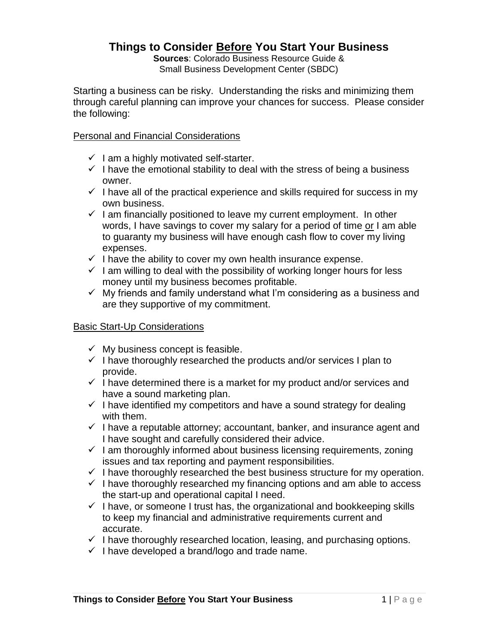# **Things to Consider Before You Start Your Business**

**Sources**: Colorado Business Resource Guide & Small Business Development Center (SBDC)

Starting a business can be risky. Understanding the risks and minimizing them through careful planning can improve your chances for success. Please consider the following:

#### Personal and Financial Considerations

- $\checkmark$  I am a highly motivated self-starter.
- $\checkmark$  I have the emotional stability to deal with the stress of being a business owner.
- $\checkmark$  I have all of the practical experience and skills required for success in my own business.
- $\checkmark$  I am financially positioned to leave my current employment. In other words, I have savings to cover my salary for a period of time or I am able to guaranty my business will have enough cash flow to cover my living expenses.
- $\checkmark$  I have the ability to cover my own health insurance expense.
- $\checkmark$  I am willing to deal with the possibility of working longer hours for less money until my business becomes profitable.
- $\checkmark$  My friends and family understand what I'm considering as a business and are they supportive of my commitment.

#### Basic Start-Up Considerations

- $\checkmark$  My business concept is feasible.
- $\checkmark$  I have thoroughly researched the products and/or services I plan to provide.
- $\checkmark$  I have determined there is a market for my product and/or services and have a sound marketing plan.
- $\checkmark$  I have identified my competitors and have a sound strategy for dealing with them.
- $\checkmark$  I have a reputable attorney; accountant, banker, and insurance agent and I have sought and carefully considered their advice.
- $\checkmark$  I am thoroughly informed about business licensing requirements, zoning issues and tax reporting and payment responsibilities.
- $\checkmark$  I have thoroughly researched the best business structure for my operation.
- $\checkmark$  I have thoroughly researched my financing options and am able to access the start-up and operational capital I need.
- $\checkmark$  I have, or someone I trust has, the organizational and bookkeeping skills to keep my financial and administrative requirements current and accurate.
- $\checkmark$  I have thoroughly researched location, leasing, and purchasing options.
- $\checkmark$  I have developed a brand/logo and trade name.